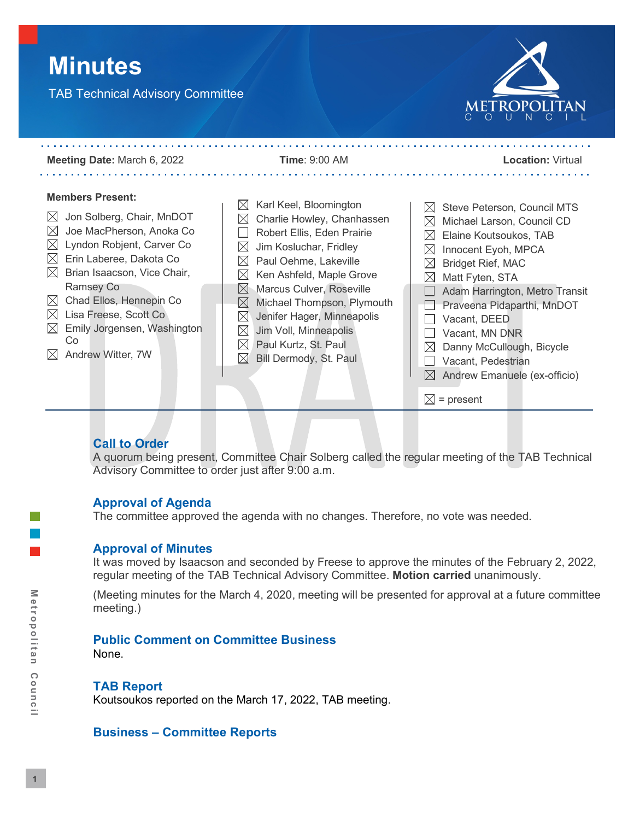# **Minutes**

TAB Technical Advisory Committee





## **Call to Order**

A quorum being present, Committee Chair Solberg called the regular meeting of the TAB Technical Advisory Committee to order just after 9:00 a.m.

## **Approval of Agenda**

The committee approved the agenda with no changes. Therefore, no vote was needed.

#### **Approval of Minutes**

It was moved by Isaacson and seconded by Freese to approve the minutes of the February 2, 2022, regular meeting of the TAB Technical Advisory Committee. **Motion carried** unanimously.

(Meeting minutes for the March 4, 2020, meeting will be presented for approval at a future committee meeting.)

## **Public Comment on Committee Business**

None.

## **TAB Report**

Koutsoukos reported on the March 17, 2022, TAB meeting.

## **Business – Committee Reports**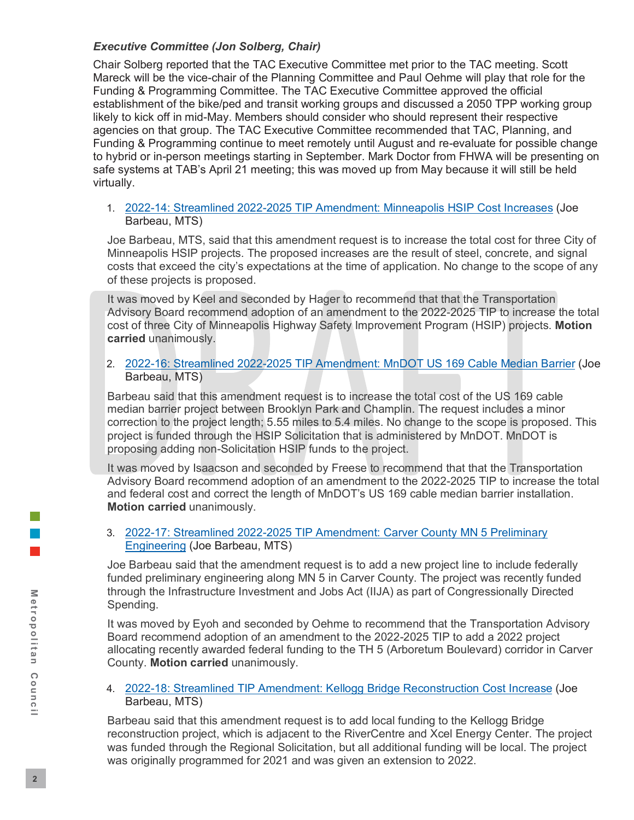## *Executive Committee (Jon Solberg, Chair)*

Chair Solberg reported that the TAC Executive Committee met prior to the TAC meeting. Scott Mareck will be the vice-chair of the Planning Committee and Paul Oehme will play that role for the Funding & Programming Committee. The TAC Executive Committee approved the official establishment of the bike/ped and transit working groups and discussed a 2050 TPP working group likely to kick off in mid-May. Members should consider who should represent their respective agencies on that group. The TAC Executive Committee recommended that TAC, Planning, and Funding & Programming continue to meet remotely until August and re-evaluate for possible change to hybrid or in-person meetings starting in September. Mark Doctor from FHWA will be presenting on safe systems at TAB's April 21 meeting; this was moved up from May because it will still be held virtually.

1. [2022-14: Streamlined 2022-2025 TIP Amendment: Minneapolis HSIP Cost Increases](https://metrocouncil.org/Council-Meetings/Committees/Transportation-Advisory-Board-TAB/TAB-Technical-Advisory-Committee/2022/TAC-Meeting-4-06-22/2022-14_AT_MPLS-HSIP.aspx) (Joe Barbeau, MTS)

Joe Barbeau, MTS, said that this amendment request is to increase the total cost for three City of Minneapolis HSIP projects. The proposed increases are the result of steel, concrete, and signal costs that exceed the city's expectations at the time of application. No change to the scope of any of these projects is proposed.

It was moved by Keel and seconded by Hager to recommend that that the Transportation Advisory Board recommend adoption of an amendment to the 2022-2025 TIP to increase the total cost of three City of Minneapolis Highway Safety Improvement Program (HSIP) projects. **Motion carried** unanimously.

2. [2022-16: Streamlined 2022-2025 TIP Amendment: MnDOT US 169 Cable Median Barrier](https://metrocouncil.org/Council-Meetings/Committees/Transportation-Advisory-Board-TAB/TAB-Technical-Advisory-Committee/2022/TAC-Meeting-4-06-22/2022-16_AT_MnDOT-HSIP.aspx) (Joe Barbeau, MTS)

Barbeau said that this amendment request is to increase the total cost of the US 169 cable median barrier project between Brooklyn Park and Champlin. The request includes a minor correction to the project length; 5.55 miles to 5.4 miles. No change to the scope is proposed. This project is funded through the HSIP Solicitation that is administered by MnDOT. MnDOT is proposing adding non-Solicitation HSIP funds to the project.

It was moved by Isaacson and seconded by Freese to recommend that that the Transportation Advisory Board recommend adoption of an amendment to the 2022-2025 TIP to increase the total and federal cost and correct the length of MnDOT's US 169 cable median barrier installation. **Motion carried** unanimously.

3. [2022-17: Streamlined 2022-2025 TIP Amendment: Carver County MN 5 Preliminary](https://metrocouncil.org/Council-Meetings/Committees/Transportation-Advisory-Board-TAB/TAB-Technical-Advisory-Committee/2022/TAC-Meeting-4-06-22/2022-17_AT_CarverCo_PE.aspx)  [Engineering](https://metrocouncil.org/Council-Meetings/Committees/Transportation-Advisory-Board-TAB/TAB-Technical-Advisory-Committee/2022/TAC-Meeting-4-06-22/2022-17_AT_CarverCo_PE.aspx) (Joe Barbeau, MTS)

Joe Barbeau said that the amendment request is to add a new project line to include federally funded preliminary engineering along MN 5 in Carver County. The project was recently funded through the Infrastructure Investment and Jobs Act (IIJA) as part of Congressionally Directed Spending.

It was moved by Eyoh and seconded by Oehme to recommend that the Transportation Advisory Board recommend adoption of an amendment to the 2022-2025 TIP to add a 2022 project allocating recently awarded federal funding to the TH 5 (Arboretum Boulevard) corridor in Carver County. **Motion carried** unanimously.

4. [2022-18: Streamlined TIP Amendment: Kellogg Bridge Reconstruction Cost Increase](https://metrocouncil.org/Council-Meetings/Committees/Transportation-Advisory-Board-TAB/TAB-Technical-Advisory-Committee/2022/TAC-Meeting-4-06-22/2022-18_AT_KelloggBrCost.aspx) (Joe Barbeau, MTS)

Barbeau said that this amendment request is to add local funding to the Kellogg Bridge reconstruction project, which is adjacent to the RiverCentre and Xcel Energy Center. The project was funded through the Regional Solicitation, but all additional funding will be local. The project was originally programmed for 2021 and was given an extension to 2022.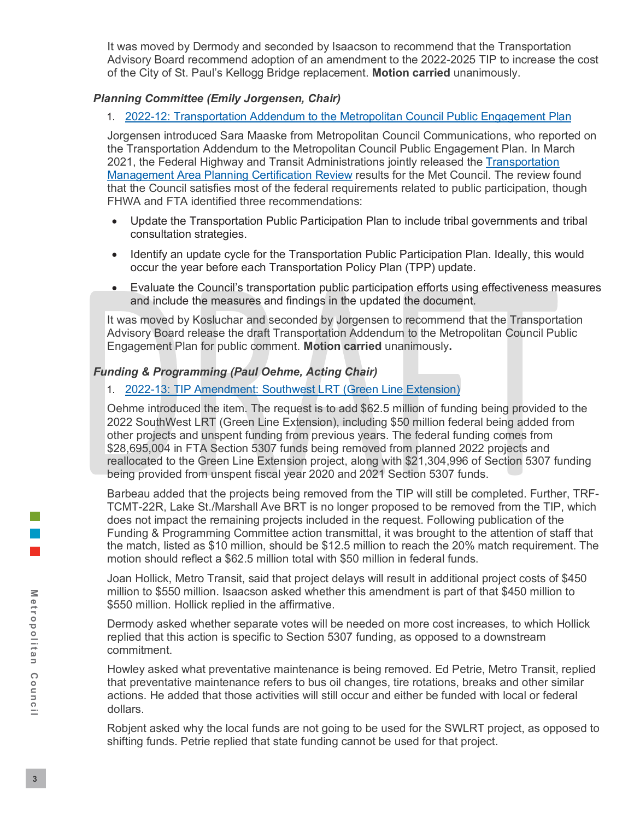It was moved by Dermody and seconded by Isaacson to recommend that the Transportation Advisory Board recommend adoption of an amendment to the 2022-2025 TIP to increase the cost of the City of St. Paul's Kellogg Bridge replacement. **Motion carried** unanimously.

#### *Planning Committee (Emily Jorgensen, Chair)*

### 1. [2022-12: Transportation Addendum to the Metropolitan Council Public Engagement Plan](https://metrocouncil.org/Council-Meetings/Committees/Transportation-Advisory-Board-TAB/TAB-Technical-Advisory-Committee/2022/TAC-Meeting-4-06-22/2022-12_AT_PPP.aspx)

Jorgensen introduced Sara Maaske from Metropolitan Council Communications, who reported on the Transportation Addendum to the Metropolitan Council Public Engagement Plan. In March 2021, the Federal Highway and Transit Administrations jointly released the [Transportation](https://metrocouncil.org/Council-Meetings/Committees/Transportation-Advisory-Board-TAB/2021/June-16,-2021/Info-1-2020-Met-Council-TMA-Certification-Report-F.aspx)  [Management Area Planning Certification Review](https://metrocouncil.org/Council-Meetings/Committees/Transportation-Advisory-Board-TAB/2021/June-16,-2021/Info-1-2020-Met-Council-TMA-Certification-Report-F.aspx) results for the Met Council. The review found that the Council satisfies most of the federal requirements related to public participation, though FHWA and FTA identified three recommendations:

- Update the Transportation Public Participation Plan to include tribal governments and tribal consultation strategies.
- Identify an update cycle for the Transportation Public Participation Plan. Ideally, this would occur the year before each Transportation Policy Plan (TPP) update.
- Evaluate the Council's transportation public participation efforts using effectiveness measures and include the measures and findings in the updated the document.

It was moved by Kosluchar and seconded by Jorgensen to recommend that the Transportation Advisory Board release the draft Transportation Addendum to the Metropolitan Council Public Engagement Plan for public comment. **Motion carried** unanimously**.**

## *Funding & Programming (Paul Oehme, Acting Chair)*

### 1. [2022-13: TIP Amendment: Southwest LRT \(Green Line Extension\)](https://metrocouncil.org/Council-Meetings/Committees/Transportation-Advisory-Board-TAB/TAB-Technical-Advisory-Committee/2022/TAC-Meeting-4-06-22/2022-13_AT_SW-LRT.aspx)

Oehme introduced the item. The request is to add \$62.5 million of funding being provided to the 2022 SouthWest LRT (Green Line Extension), including \$50 million federal being added from other projects and unspent funding from previous years. The federal funding comes from \$28,695,004 in FTA Section 5307 funds being removed from planned 2022 projects and reallocated to the Green Line Extension project, along with \$21,304,996 of Section 5307 funding being provided from unspent fiscal year 2020 and 2021 Section 5307 funds.

Barbeau added that the projects being removed from the TIP will still be completed. Further, TRF-TCMT-22R, Lake St./Marshall Ave BRT is no longer proposed to be removed from the TIP, which does not impact the remaining projects included in the request. Following publication of the Funding & Programming Committee action transmittal, it was brought to the attention of staff that the match, listed as \$10 million, should be \$12.5 million to reach the 20% match requirement. The motion should reflect a \$62.5 million total with \$50 million in federal funds.

Joan Hollick, Metro Transit, said that project delays will result in additional project costs of \$450 million to \$550 million. Isaacson asked whether this amendment is part of that \$450 million to \$550 million. Hollick replied in the affirmative.

Dermody asked whether separate votes will be needed on more cost increases, to which Hollick replied that this action is specific to Section 5307 funding, as opposed to a downstream commitment.

Howley asked what preventative maintenance is being removed. Ed Petrie, Metro Transit, replied that preventative maintenance refers to bus oil changes, tire rotations, breaks and other similar actions. He added that those activities will still occur and either be funded with local or federal dollars.

Robjent asked why the local funds are not going to be used for the SWLRT project, as opposed to shifting funds. Petrie replied that state funding cannot be used for that project.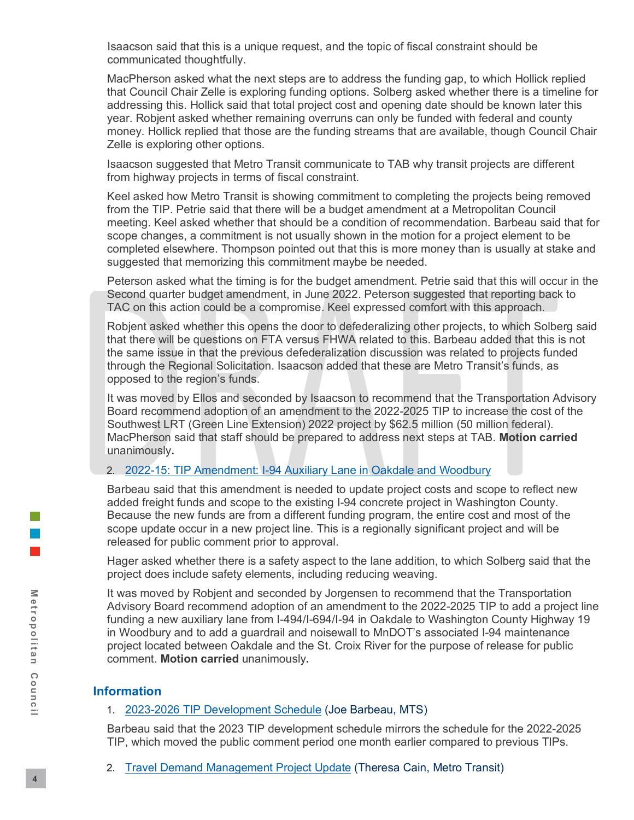Isaacson said that this is a unique request, and the topic of fiscal constraint should be communicated thoughtfully.

MacPherson asked what the next steps are to address the funding gap, to which Hollick replied that Council Chair Zelle is exploring funding options. Solberg asked whether there is a timeline for addressing this. Hollick said that total project cost and opening date should be known later this year. Robjent asked whether remaining overruns can only be funded with federal and county money. Hollick replied that those are the funding streams that are available, though Council Chair Zelle is exploring other options.

Isaacson suggested that Metro Transit communicate to TAB why transit projects are different from highway projects in terms of fiscal constraint.

Keel asked how Metro Transit is showing commitment to completing the projects being removed from the TIP. Petrie said that there will be a budget amendment at a Metropolitan Council meeting. Keel asked whether that should be a condition of recommendation. Barbeau said that for scope changes, a commitment is not usually shown in the motion for a project element to be completed elsewhere. Thompson pointed out that this is more money than is usually at stake and suggested that memorizing this commitment maybe be needed.

Peterson asked what the timing is for the budget amendment. Petrie said that this will occur in the Second quarter budget amendment, in June 2022. Peterson suggested that reporting back to TAC on this action could be a compromise. Keel expressed comfort with this approach.

Robjent asked whether this opens the door to defederalizing other projects, to which Solberg said that there will be questions on FTA versus FHWA related to this. Barbeau added that this is not the same issue in that the previous defederalization discussion was related to projects funded through the Regional Solicitation. Isaacson added that these are Metro Transit's funds, as opposed to the region's funds.

It was moved by Ellos and seconded by Isaacson to recommend that the Transportation Advisory Board recommend adoption of an amendment to the 2022-2025 TIP to increase the cost of the Southwest LRT (Green Line Extension) 2022 project by \$62.5 million (50 million federal). MacPherson said that staff should be prepared to address next steps at TAB. **Motion carried** unanimously**.**

#### 2. [2022-15: TIP Amendment: I-94 Auxiliary Lane in Oakdale and Woodbury](https://metrocouncil.org/Council-Meetings/Committees/Transportation-Advisory-Board-TAB/TAB-Technical-Advisory-Committee/2022/TAC-Meeting-4-06-22/2022-15_AT_MnDOT-I94-AuxLane.aspx)

Barbeau said that this amendment is needed to update project costs and scope to reflect new added freight funds and scope to the existing I-94 concrete project in Washington County. Because the new funds are from a different funding program, the entire cost and most of the scope update occur in a new project line. This is a regionally significant project and will be released for public comment prior to approval.

Hager asked whether there is a safety aspect to the lane addition, to which Solberg said that the project does include safety elements, including reducing weaving.

It was moved by Robjent and seconded by Jorgensen to recommend that the Transportation Advisory Board recommend adoption of an amendment to the 2022-2025 TIP to add a project line funding a new auxiliary lane from I-494/I-694/I-94 in Oakdale to Washington County Highway 19 in Woodbury and to add a guardrail and noisewall to MnDOT's associated I-94 maintenance project located between Oakdale and the St. Croix River for the purpose of release for public comment. **Motion carried** unanimously**.**

## **Information**

#### 1. [2023-2026 TIP Development Schedule](https://metrocouncil.org/Council-Meetings/Committees/Transportation-Advisory-Board-TAB/TAB-Technical-Advisory-Committee/2022/TAC-Meeting-4-06-22/INFO_TIP-Schedule.aspx) (Joe Barbeau, MTS)

Barbeau said that the 2023 TIP development schedule mirrors the schedule for the 2022-2025 TIP, which moved the public comment period one month earlier compared to previous TIPs.

2. [Travel Demand Management Project Update](https://metrocouncil.org/Council-Meetings/Committees/Transportation-Advisory-Board-TAB/TAB-Technical-Advisory-Committee/2022/TAC-Meeting-4-06-22/Info2_TDM-Project-Update.aspx) (Theresa Cain, Metro Transit)